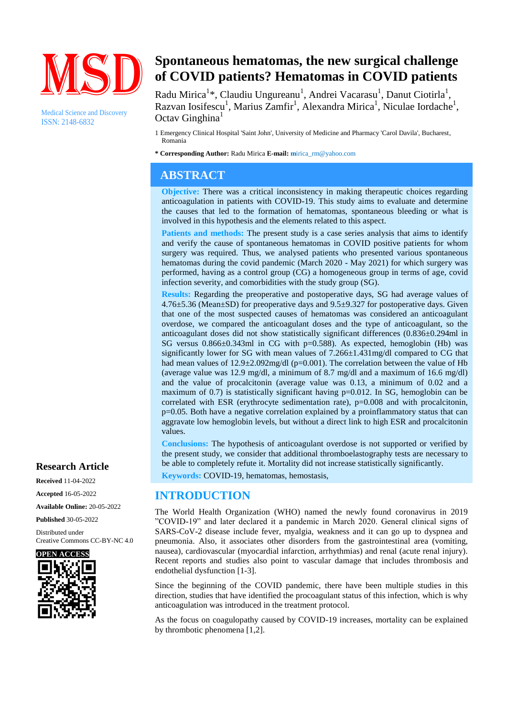

Medical Science and Discovery ISSN: 2148-6832

# **Spontaneous hematomas, the new surgical challenge of COVID patients? Hematomas in COVID patients**

Radu Mirica<sup>1</sup>\*, Claudiu Ungureanu<sup>1</sup>, Andrei Vacarasu<sup>1</sup>, Danut Ciotirla<sup>1</sup>, Razvan Iosifescu<sup>1</sup>, Marius Zamfir<sup>1</sup>, Alexandra Mirica<sup>1</sup>, Niculae Iordache<sup>1</sup>, Octav Ginghina<sup>1</sup>

1 Emergency Clinical Hospital 'Saint John', University of Medicine and Pharmacy 'Carol Davila', Bucharest, Romania

**\* Corresponding Author:** Radu Mirica **E-mail: m**irica\_rm@yahoo.com

## **ABSTRACT**

**Objective:** There was a critical inconsistency in making therapeutic choices regarding anticoagulation in patients with COVID-19. This study aims to evaluate and determine the causes that led to the formation of hematomas, spontaneous bleeding or what is involved in this hypothesis and the elements related to this aspect.

**Patients and methods:** The present study is a case series analysis that aims to identify and verify the cause of spontaneous hematomas in COVID positive patients for whom surgery was required. Thus, we analysed patients who presented various spontaneous hematomas during the covid pandemic (March 2020 - May 2021) for which surgery was performed, having as a control group (CG) a homogeneous group in terms of age, covid infection severity, and comorbidities with the study group (SG).

**Results:** Regarding the preoperative and postoperative days, SG had average values of 4.76±5.36 (Mean±SD) for preoperative days and 9.5±9.327 for postoperative days. Given that one of the most suspected causes of hematomas was considered an anticoagulant overdose, we compared the anticoagulant doses and the type of anticoagulant, so the anticoagulant doses did not show statistically significant differences (0.836±0.294ml in SG versus 0.866±0.343ml in CG with p=0.588). As expected, hemoglobin (Hb) was significantly lower for SG with mean values of 7.266±1.431mg/dl compared to CG that had mean values of  $12.9\pm 2.092 \text{mg/dl}$  (p=0.001). The correlation between the value of Hb (average value was 12.9 mg/dl, a minimum of 8.7 mg/dl and a maximum of 16.6 mg/dl) and the value of procalcitonin (average value was 0.13, a minimum of 0.02 and a maximum of 0.7) is statistically significant having p=0.012. In SG, hemoglobin can be correlated with ESR (erythrocyte sedimentation rate),  $p=0.008$  and with procalcitonin, p=0.05. Both have a negative correlation explained by a proinflammatory status that can aggravate low hemoglobin levels, but without a direct link to high ESR and procalcitonin values.

**Conclusions:** The hypothesis of anticoagulant overdose is not supported or verified by the present study, we consider that additional thromboelastography tests are necessary to be able to completely refute it. Mortality did not increase statistically significantly.

**Keywords:** COVID-19, hematomas, hemostasis,

### **INTRODUCTION**

The World Health Organization (WHO) named the newly found coronavirus in 2019 "COVID-19" and later declared it a pandemic in March 2020. General clinical signs of SARS-CoV-2 disease include fever, myalgia, weakness and it can go up to dyspnea and pneumonia. Also, it associates other disorders from the gastrointestinal area (vomiting, nausea), cardiovascular (myocardial infarction, arrhythmias) and renal (acute renal injury). Recent reports and studies also point to vascular damage that includes thrombosis and endothelial dysfunction [1-3].

Since the beginning of the COVID pandemic, there have been multiple studies in this direction, studies that have identified the procoagulant status of this infection, which is why anticoagulation was introduced in the treatment protocol.

As the focus on coagulopathy caused by COVID-19 increases, mortality can be explained by thrombotic phenomena [1,2].

#### **Research Article**

**Received** 11-04-2022 **Accepted** 16-05-2022 **Available Online:** 20-05-2022 **Published** 30-05-2022

Distributed under Creative Commons CC-BY-NC 4.0

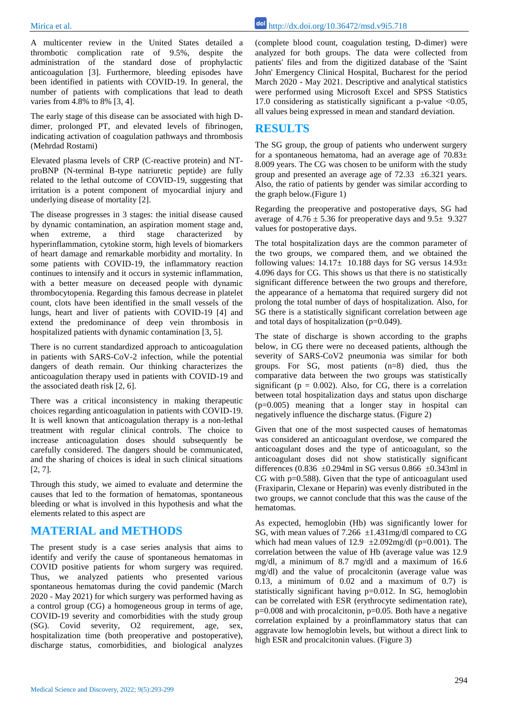A multicenter review in the United States detailed a thrombotic complication rate of 9.5%, despite the administration of the standard dose of prophylactic anticoagulation [3]. Furthermore, bleeding episodes have been identified in patients with COVID-19. In general, the number of patients with complications that lead to death varies from 4.8% to 8% [3, 4].

The early stage of this disease can be associated with high Ddimer, prolonged PT, and elevated levels of fibrinogen, indicating activation of coagulation pathways and thrombosis (Mehrdad Rostami)

Elevated plasma levels of CRP (C-reactive protein) and NTproBNP (N-terminal B-type natriuretic peptide) are fully related to the lethal outcome of COVID-19, suggesting that irritation is a potent component of myocardial injury and underlying disease of mortality [2].

The disease progresses in 3 stages: the initial disease caused by dynamic contamination, an aspiration moment stage and, when extreme, a third stage characterized by hyperinflammation, cytokine storm, high levels of biomarkers of heart damage and remarkable morbidity and mortality. In some patients with COVID-19, the inflammatory reaction continues to intensify and it occurs in systemic inflammation, with a better measure on deceased people with dynamic thrombocytopenia. Regarding this famous decrease in platelet count, clots have been identified in the small vessels of the lungs, heart and liver of patients with COVID-19 [4] and extend the predominance of deep vein thrombosis in hospitalized patients with dynamic contamination [3, 5].

There is no current standardized approach to anticoagulation in patients with SARS-CoV-2 infection, while the potential dangers of death remain. Our thinking characterizes the anticoagulation therapy used in patients with COVID-19 and the associated death risk [2, 6].

There was a critical inconsistency in making therapeutic choices regarding anticoagulation in patients with COVID-19. It is well known that anticoagulation therapy is a non-lethal treatment with regular clinical controls. The choice to increase anticoagulation doses should subsequently be carefully considered. The dangers should be communicated, and the sharing of choices is ideal in such clinical situations [2, 7].

Through this study, we aimed to evaluate and determine the causes that led to the formation of hematomas, spontaneous bleeding or what is involved in this hypothesis and what the elements related to this aspect are

#### **MATERIAL and METHODS**

The present study is a case series analysis that aims to identify and verify the cause of spontaneous hematomas in COVID positive patients for whom surgery was required. Thus, we analyzed patients who presented various spontaneous hematomas during the covid pandemic (March 2020 - May 2021) for which surgery was performed having as a control group (CG) a homogeneous group in terms of age, COVID-19 severity and comorbidities with the study group (SG). Covid severity, O2 requirement, age, sex, hospitalization time (both preoperative and postoperative), discharge status, comorbidities, and biological analyzes

Mirica et al. http://dx.doi.org/10.36472/msd.v9i5.718

(complete blood count, coagulation testing, D-dimer) were analyzed for both groups. The data were collected from patients' files and from the digitized database of the 'Saint John' Emergency Clinical Hospital, Bucharest for the period March 2020 - May 2021. Descriptive and analytical statistics were performed using Microsoft Excel and SPSS Statistics 17.0 considering as statistically significant a p-value  $\leq 0.05$ , all values being expressed in mean and standard deviation.

#### **RESULTS**

The SG group, the group of patients who underwent surgery for a spontaneous hematoma, had an average age of  $70.83\pm$ 8.009 years. The CG was chosen to be uniform with the study group and presented an average age of 72.33 ±6.321 years. Also, the ratio of patients by gender was similar according to the graph below.(Figure 1)

Regarding the preoperative and postoperative days, SG had average of  $4.76 \pm 5.36$  for preoperative days and  $9.5 \pm 9.327$ values for postoperative days.

The total hospitalization days are the common parameter of the two groups, we compared them, and we obtained the following values:  $14.17 \pm 10.188$  days for SG versus  $14.93 \pm 10.188$ 4.096 days for CG. This shows us that there is no statistically significant difference between the two groups and therefore, the appearance of a hematoma that required surgery did not prolong the total number of days of hospitalization. Also, for SG there is a statistically significant correlation between age and total days of hospitalization (p=0.049).

The state of discharge is shown according to the graphs below, in CG there were no deceased patients, although the severity of SARS-CoV2 pneumonia was similar for both groups. For SG, most patients (n=8) died, thus the comparative data between the two groups was statistically significant ( $p = 0.002$ ). Also, for CG, there is a correlation between total hospitalization days and status upon discharge (p=0.005) meaning that a longer stay in hospital can negatively influence the discharge status. (Figure 2)

Given that one of the most suspected causes of hematomas was considered an anticoagulant overdose, we compared the anticoagulant doses and the type of anticoagulant, so the anticoagulant doses did not show statistically significant differences (0.836  $\pm$ 0.294ml in SG versus 0.866  $\pm$ 0.343ml in CG with p=0.588). Given that the type of anticoagulant used (Fraxiparin, Clexane or Heparin) was evenly distributed in the two groups, we cannot conclude that this was the cause of the hematomas.

As expected, hemoglobin (Hb) was significantly lower for SG, with mean values of 7.266  $\pm$ 1.431mg/dl compared to CG which had mean values of  $12.9 \pm 2.092$  mg/dl (p=0.001). The correlation between the value of Hb (average value was 12.9 mg/dl, a minimum of 8.7 mg/dl and a maximum of 16.6 mg/dl) and the value of procalcitonin (average value was  $0.13$ , a minimum of  $0.02$  and a maximum of  $0.7$ ) is statistically significant having p=0.012. In SG, hemoglobin can be correlated with ESR (erythrocyte sedimentation rate),  $p=0.008$  and with procalcitonin,  $p=0.05$ . Both have a negative correlation explained by a proinflammatory status that can aggravate low hemoglobin levels, but without a direct link to high ESR and procalcitonin values. (Figure 3)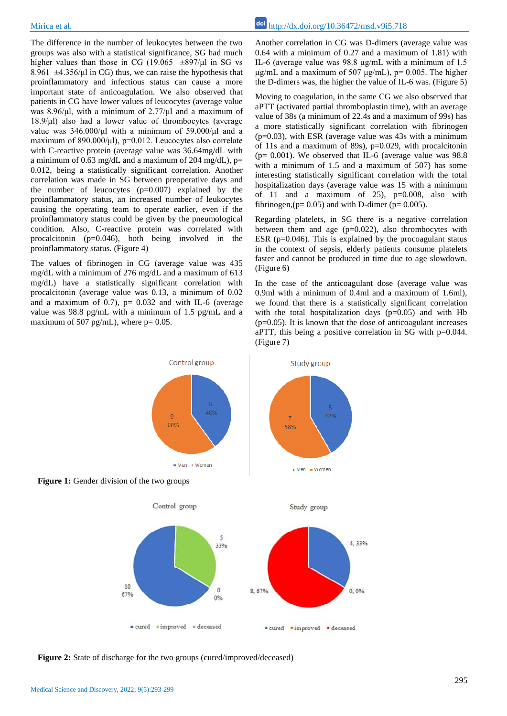The difference in the number of leukocytes between the two groups was also with a statistical significance, SG had much higher values than those in CG (19.065  $\pm$ 897/ $\mu$ l in SG vs 8.961  $\pm$ 4.356/μl in CG) thus, we can raise the hypothesis that proinflammatory and infectious status can cause a more important state of anticoagulation. We also observed that patients in CG have lower values of leucocytes (average value was 8.96/μl, with a minimum of 2.77/μl and a maximum of 18.9/μl) also had a lower value of thrombocytes (average value was 346.000/μl with a minimum of 59.000/μl and a maximum of 890.000/μl), p=0.012. Leucocytes also correlate with C-reactive protein (average value was 36.64mg/dL with a minimum of 0.63 mg/dL and a maximum of 204 mg/dL),  $p=$ 0.012, being a statistically significant correlation. Another correlation was made in SG between preoperative days and the number of leucocytes  $(p=0.007)$  explained by the proinflammatory status, an increased number of leukocytes causing the operating team to operate earlier, even if the proinflammatory status could be given by the pneumological condition. Also, C-reactive protein was correlated with procalcitonin (p=0.046), both being involved in the proinflammatory status. (Figure 4)

The values of fibrinogen in CG (average value was 435 mg/dL with a minimum of 276 mg/dL and a maximum of 613 mg/dL) have a statistically significant correlation with procalcitonin (average value was 0.13, a minimum of 0.02 and a maximum of 0.7),  $p= 0.032$  and with IL-6 (average value was 98.8 pg/mL with a minimum of 1.5 pg/mL and a maximum of 507 pg/mL), where  $p = 0.05$ .

Another correlation in CG was D-dimers (average value was 0.64 with a minimum of 0.27 and a maximum of 1.81) with IL-6 (average value was 98.8 μg/mL with a minimum of 1.5 μg/mL and a maximum of 507 μg/mL),  $p= 0.005$ . The higher the D-dimers was, the higher the value of IL-6 was. (Figure 5)

Moving to coagulation, in the same CG we also observed that aPTT (activated partial thromboplastin time), with an average value of 38s (a minimum of 22.4s and a maximum of 99s) has a more statistically significant correlation with fibrinogen  $(p=0.03)$ , with ESR (average value was 43s with a minimum of 11s and a maximum of 89s), p=0.029, with procalcitonin ( $p= 0.001$ ). We observed that IL-6 (average value was 98.8) with a minimum of 1.5 and a maximum of 507) has some interesting statistically significant correlation with the total hospitalization days (average value was 15 with a minimum of 11 and a maximum of 25),  $p=0.008$ , also with fibrinogen,  $(p= 0.05)$  and with D-dimer ( $p= 0.005$ ).

Regarding platelets, in SG there is a negative correlation between them and age  $(p=0.022)$ , also thrombocytes with ESR ( $p=0.046$ ). This is explained by the procoagulant status in the context of sepsis, elderly patients consume platelets faster and cannot be produced in time due to age slowdown. (Figure 6)

In the case of the anticoagulant dose (average value was 0.9ml with a minimum of 0.4ml and a maximum of 1.6ml), we found that there is a statistically significant correlation with the total hospitalization days  $(p=0.05)$  and with Hb  $(p=0.05)$ . It is known that the dose of anticoagulant increases aPTT, this being a positive correlation in  $SG$  with p=0.044. (Figure 7)

4.33%

0,0%



**Figure 1:** Gender division of the two groups



Control group

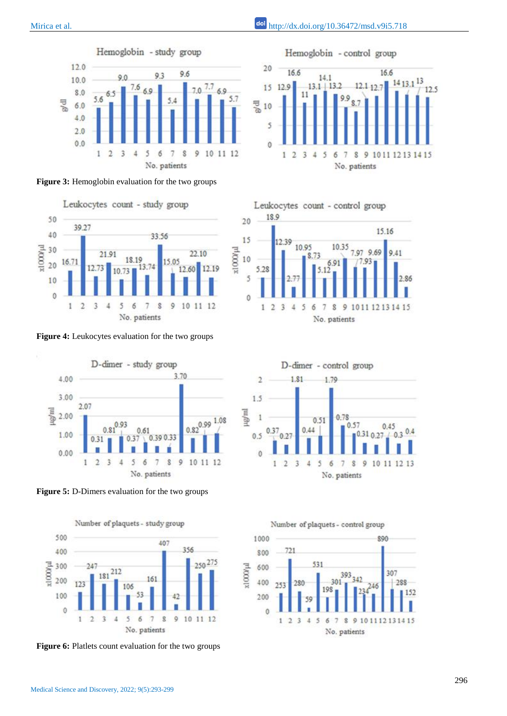Medical Science and Discovery, 2022; 9(5):293-299



**Figure 3:** Hemoglobin evaluation for the two groups



**Figure 4:** Leukocytes evaluation for the two groups



**Figure 5:** D-Dimers evaluation for the two groups



**Figure 6:** Platlets count evaluation for the two groups









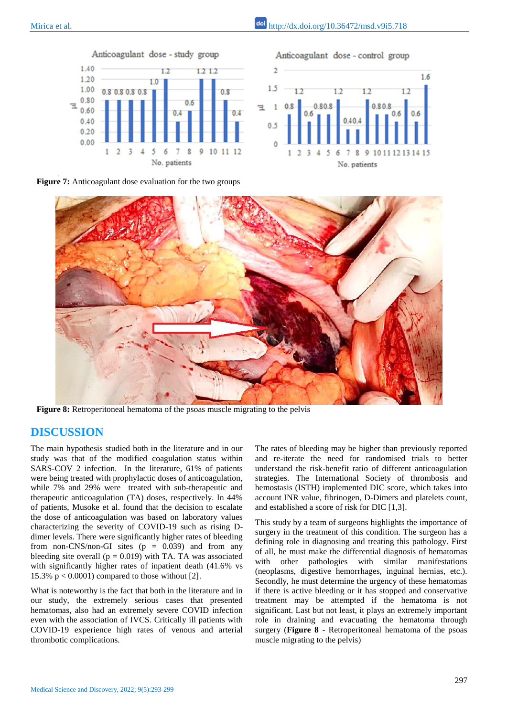

Anticoagulant dose - control group



**Figure 7:** Anticoagulant dose evaluation for the two groups



**Figure 8:** Retroperitoneal hematoma of the psoas muscle migrating to the pelvis

#### **DISCUSSION**

The main hypothesis studied both in the literature and in our study was that of the modified coagulation status within SARS-COV 2 infection. In the literature, 61% of patients were being treated with prophylactic doses of anticoagulation, while 7% and 29% were treated with sub-therapeutic and therapeutic anticoagulation (TA) doses, respectively. In 44% of patients, Musoke et al. found that the decision to escalate the dose of anticoagulation was based on laboratory values characterizing the severity of COVID-19 such as rising Ddimer levels. There were significantly higher rates of bleeding from non-CNS/non-GI sites  $(p = 0.039)$  and from any bleeding site overall ( $p = 0.019$ ) with TA. TA was associated with significantly higher rates of inpatient death (41.6% vs 15.3%  $p < 0.0001$ ) compared to those without [2].

What is noteworthy is the fact that both in the literature and in our study, the extremely serious cases that presented hematomas, also had an extremely severe COVID infection even with the association of IVCS. Critically ill patients with COVID-19 experience high rates of venous and arterial thrombotic complications.

The rates of bleeding may be higher than previously reported and re-iterate the need for randomised trials to better understand the risk-benefit ratio of different anticoagulation strategies. The International Society of thrombosis and hemostasis (ISTH) implemented DIC score, which takes into account INR value, fibrinogen, D-Dimers and platelets count, and established a score of risk for DIC [1,3].

This study by a team of surgeons highlights the importance of surgery in the treatment of this condition. The surgeon has a defining role in diagnosing and treating this pathology. First of all, he must make the differential diagnosis of hematomas with other pathologies with similar manifestations (neoplasms, digestive hemorrhages, inguinal hernias, etc.). Secondly, he must determine the urgency of these hematomas if there is active bleeding or it has stopped and conservative treatment may be attempted if the hematoma is not significant. Last but not least, it plays an extremely important role in draining and evacuating the hematoma through surgery (**Figure 8** - Retroperitoneal hematoma of the psoas muscle migrating to the pelvis)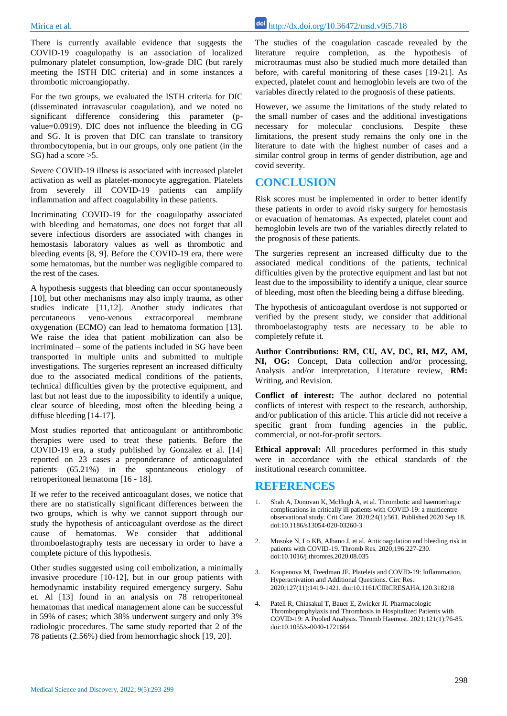There is currently available evidence that suggests the COVID-19 coagulopathy is an association of localized pulmonary platelet consumption, low-grade DIC (but rarely meeting the ISTH DIC criteria) and in some instances a thrombotic microangiopathy.

For the two groups, we evaluated the ISTH criteria for DIC (disseminated intravascular coagulation), and we noted no significant difference considering this parameter (pvalue=0.0919). DIC does not influence the bleeding in CG and SG. It is proven that DIC can translate to transitory thrombocytopenia, but in our groups, only one patient (in the SG) had a score  $>5$ .

Severe COVID-19 illness is associated with increased platelet activation as well as platelet-monocyte aggregation. Platelets from severely ill COVID-19 patients can amplify inflammation and affect coagulability in these patients.

Incriminating COVID-19 for the coagulopathy associated with bleeding and hematomas, one does not forget that all severe infectious disorders are associated with changes in hemostasis laboratory values as well as thrombotic and bleeding events [8, 9]. Before the COVID-19 era, there were some hematomas, but the number was negligible compared to the rest of the cases.

A hypothesis suggests that bleeding can occur spontaneously [10], but other mechanisms may also imply trauma, as other studies indicate [11,12]. Another study indicates that percutaneous veno-venous extracorporeal membrane oxygenation (ECMO) can lead to hematoma formation [13]. We raise the idea that patient mobilization can also be incriminated – some of the patients included in SG have been transported in multiple units and submitted to multiple investigations. The surgeries represent an increased difficulty due to the associated medical conditions of the patients, technical difficulties given by the protective equipment, and last but not least due to the impossibility to identify a unique, clear source of bleeding, most often the bleeding being a diffuse bleeding [14-17].

Most studies reported that anticoagulant or antithrombotic therapies were used to treat these patients. Before the COVID-19 era, a study published by Gonzalez et al. [14] reported on 23 cases a preponderance of anticoagulated patients (65.21%) in the spontaneous etiology of retroperitoneal hematoma [16 - 18].

If we refer to the received anticoagulant doses, we notice that there are no statistically significant differences between the two groups, which is why we cannot support through our study the hypothesis of anticoagulant overdose as the direct cause of hematomas. We consider that additional thromboelastography tests are necessary in order to have a complete picture of this hypothesis.

Other studies suggested using coil embolization, a minimally invasive procedure [10-12], but in our group patients with hemodynamic instability required emergency surgery. Sahu et. Al [13] found in an analysis on 78 retroperitoneal hematomas that medical management alone can be successful in 59% of cases; which 38% underwent surgery and only 3% radiologic procedures. The same study reported that 2 of the 78 patients (2.56%) died from hemorrhagic shock [19, 20].

The studies of the coagulation cascade revealed by the literature require completion, as the hypothesis of microtraumas must also be studied much more detailed than before, with careful monitoring of these cases [19-21]. As expected, platelet count and hemoglobin levels are two of the variables directly related to the prognosis of these patients.

However, we assume the limitations of the study related to the small number of cases and the additional investigations necessary for molecular conclusions. Despite these limitations, the present study remains the only one in the literature to date with the highest number of cases and a similar control group in terms of gender distribution, age and covid severity.

#### **CONCLUSION**

Risk scores must be implemented in order to better identify these patients in order to avoid risky surgery for hemostasis or evacuation of hematomas. As expected, platelet count and hemoglobin levels are two of the variables directly related to the prognosis of these patients.

The surgeries represent an increased difficulty due to the associated medical conditions of the patients, technical difficulties given by the protective equipment and last but not least due to the impossibility to identify a unique, clear source of bleeding, most often the bleeding being a diffuse bleeding.

The hypothesis of anticoagulant overdose is not supported or verified by the present study, we consider that additional thromboelastography tests are necessary to be able to completely refute it.

**Author Contributions: RM, CU, AV, DC, RI, MZ, AM, NI, OG:** Concept, Data collection and/or processing, Analysis and/or interpretation, Literature review, **RM:** Writing, and Revision.

**Conflict of interest:** The author declared no potential conflicts of interest with respect to the research, authorship, and/or publication of this article. This article did not receive a specific grant from funding agencies in the public, commercial, or not-for-profit sectors.

**Ethical approval:** All procedures performed in this study were in accordance with the ethical standards of the institutional research committee.

#### **REFERENCES**

- 1. Shah A, Donovan K, McHugh A, et al. Thrombotic and haemorrhagic complications in critically ill patients with COVID-19: a multicentre observational study. Crit Care. 2020;24(1):561. Published 2020 Sep 18. doi:10.1186/s13054-020-03260-3
- 2. Musoke N, Lo KB, Albano J, et al. Anticoagulation and bleeding risk in patients with COVID-19. Thromb Res. 2020;196:227-230. doi:10.1016/j.thromres.2020.08.035
- 3. Koupenova M, Freedman JE. Platelets and COVID-19: Inflammation, Hyperactivation and Additional Questions. Circ Res. 2020;127(11):1419-1421. doi:10.1161/CIRCRESAHA.120.318218
- 4. Patell R, Chiasakul T, Bauer E, Zwicker JI. Pharmacologic Thromboprophylaxis and Thrombosis in Hospitalized Patients with COVID-19: A Pooled Analysis. Thromb Haemost. 2021;121(1):76-85. doi:10.1055/s-0040-1721664